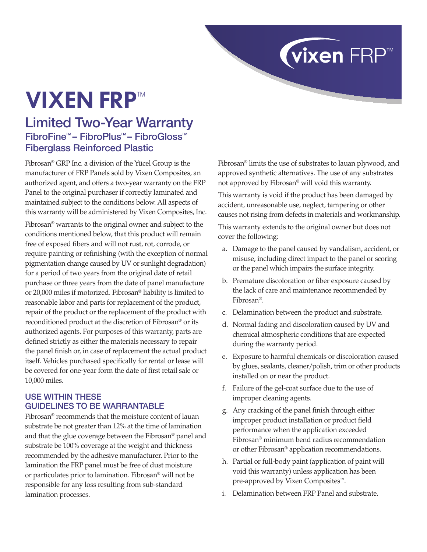# **Vixen FRP™**

## Limited Two-Year Warranty FibroFine™ – FibroPlus™ – FibroGloss™ Fiberglass Reinforced Plastic

Fibrosan® GRP Inc. a division of the Yücel Group is the manufacturer of FRP Panels sold by Vixen Composites, an authorized agent, and offers a two-year warranty on the FRP Panel to the original purchaser if correctly laminated and maintained subject to the conditions below. All aspects of this warranty will be administered by Vixen Composites, Inc.

Fibrosan® warrants to the original owner and subject to the conditions mentioned below, that this product will remain free of exposed fibers and will not rust, rot, corrode, or require painting or refinishing (with the exception of normal pigmentation change caused by UV or sunlight degradation) for a period of two years from the original date of retail purchase or three years from the date of panel manufacture or 20,000 miles if motorized. Fibrosan® liability is limited to reasonable labor and parts for replacement of the product, repair of the product or the replacement of the product with reconditioned product at the discretion of Fibrosan® or its authorized agents. For purposes of this warranty, parts are defined strictly as either the materials necessary to repair the panel finish or, in case of replacement the actual product itself. Vehicles purchased specifically for rental or lease will be covered for one-year form the date of first retail sale or 10,000 miles.

#### Use within these guidelines to be warrantable

Fibrosan® recommends that the moisture content of lauan substrate be not greater than 12% at the time of lamination and that the glue coverage between the Fibrosan® panel and substrate be 100% coverage at the weight and thickness recommended by the adhesive manufacturer. Prior to the lamination the FRP panel must be free of dust moisture or particulates prior to lamination. Fibrosan® will not be responsible for any loss resulting from sub-standard lamination processes.

Fibrosan® limits the use of substrates to lauan plywood, and approved synthetic alternatives. The use of any substrates not approved by Fibrosan® will void this warranty.

**vixen** FRP™

This warranty is void if the product has been damaged by accident, unreasonable use, neglect, tampering or other causes not rising from defects in materials and workmanship.

This warranty extends to the original owner but does not cover the following:

- a. Damage to the panel caused by vandalism, accident, or misuse, including direct impact to the panel or scoring or the panel which impairs the surface integrity.
- b. Premature discoloration or fiber exposure caused by the lack of care and maintenance recommended by Fibrosan®.
- c. Delamination between the product and substrate.
- d. Normal fading and discoloration caused by UV and chemical atmospheric conditions that are expected during the warranty period.
- e. Exposure to harmful chemicals or discoloration caused by glues, sealants, cleaner/polish, trim or other products installed on or near the product.
- f. Failure of the gel-coat surface due to the use of improper cleaning agents.
- g. Any cracking of the panel finish through either improper product installation or product field performance when the application exceeded Fibrosan® minimum bend radius recommendation or other Fibrosan® application recommendations.
- h. Partial or full-body paint (application of paint will void this warranty) unless application has been pre-approved by Vixen Composites<sup>™</sup>.
- i. Delamination between FRP Panel and substrate.